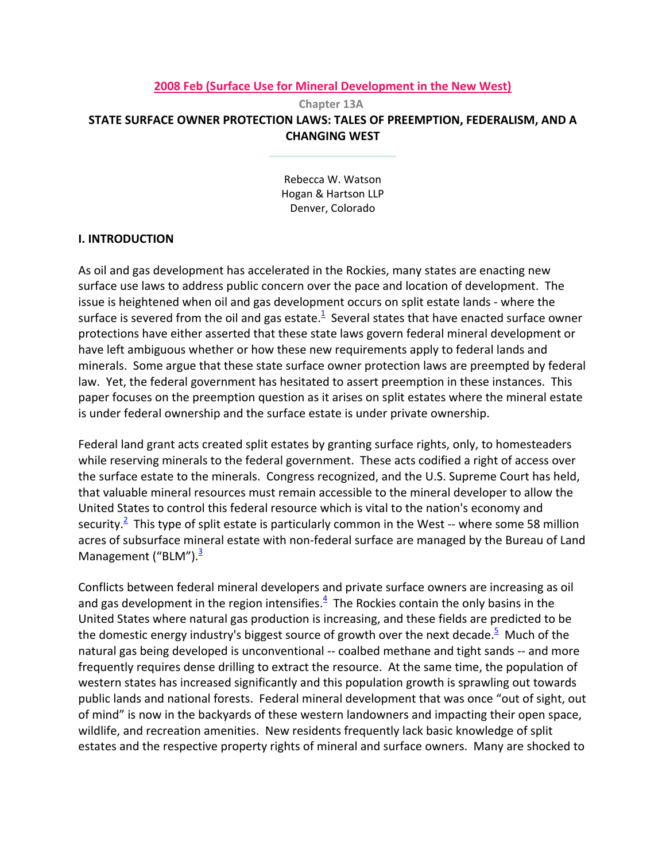#### **2008 Feb (Surface Use for Mineral Development in the New West)**

**Chapter 13A STATE SURFACE OWNER PROTECTION LAWS: TALES OF PREEMPTION, FEDERALISM, AND A CHANGING WEST**

> Rebecca W. Watson Hogan & Hartson LLP Denver, Colorado

#### **I. INTRODUCTION**

As oil and gas development has accelerated in the Rockies, many states are enacting new surface use laws to address public concern over the pace and location of development. The issue is heightened when oil and gas development occurs on split estate lands ‐ where the surface is severed from the oil and gas estate. $^{\text{1}}$  Several states that have enacted surface owner protections have either asserted that these state laws govern federal mineral development or have left ambiguous whether or how these new requirements apply to federal lands and minerals. Some argue that these state surface owner protection laws are preempted by federal law. Yet, the federal government has hesitated to assert preemption in these instances. This paper focuses on the preemption question as it arises on split estates where the mineral estate is under federal ownership and the surface estate is under private ownership.

Federal land grant acts created split estates by granting surface rights, only, to homesteaders while reserving minerals to the federal government. These acts codified a right of access over the surface estate to the minerals. Congress recognized, and the U.S. Supreme Court has held, that valuable mineral resources must remain accessible to the mineral developer to allow the United States to control this federal resource which is vital to the nation's economy and security.<sup>2</sup> This type of split estate is particularly common in the West -- where some 58 million acres of subsurface mineral estate with non-federal surface are managed by the Bureau of Land Management ("BLM"). $\frac{3}{2}$ 

Conflicts between federal mineral developers and private surface owners are increasing as oil and gas development in the region intensifies. $4$  The Rockies contain the only basins in the United States where natural gas production is increasing, and these fields are predicted to be the domestic energy industry's biggest source of growth over the next decade.<sup>5</sup> Much of the natural gas being developed is unconventional -- coalbed methane and tight sands -- and more frequently requires dense drilling to extract the resource. At the same time, the population of western states has increased significantly and this population growth is sprawling out towards public lands and national forests. Federal mineral development that was once "out of sight, out of mind" is now in the backyards of these western landowners and impacting their open space, wildlife, and recreation amenities. New residents frequently lack basic knowledge of split estates and the respective property rights of mineral and surface owners. Many are shocked to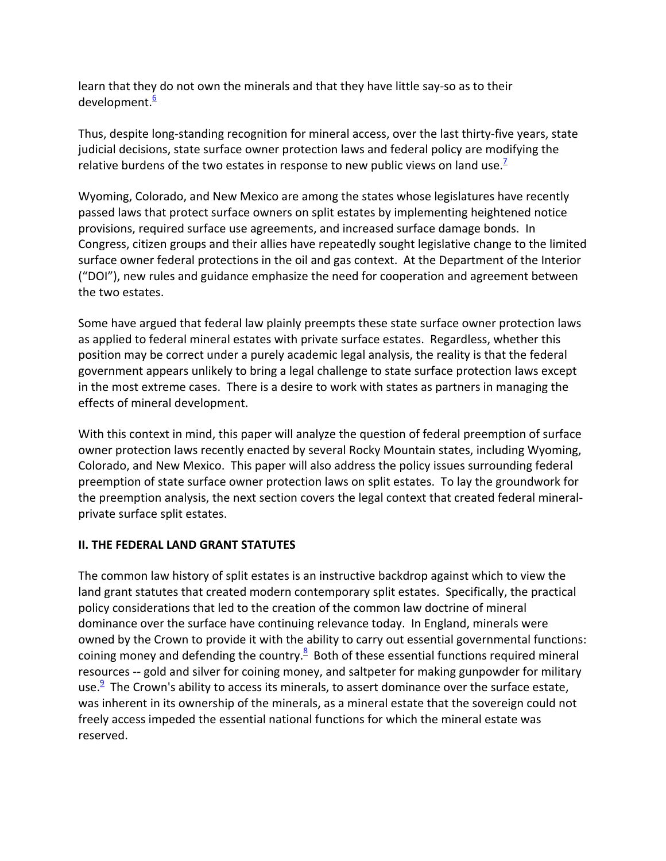learn that they do not own the minerals and that they have little say‐so as to their development.<sup>6</sup>

Thus, despite long‐standing recognition for mineral access, over the last thirty‐five years, state judicial decisions, state surface owner protection laws and federal policy are modifying the relative burdens of the two estates in response to new public views on land use.<sup>2</sup>

Wyoming, Colorado, and New Mexico are among the states whose legislatures have recently passed laws that protect surface owners on split estates by implementing heightened notice provisions, required surface use agreements, and increased surface damage bonds. In Congress, citizen groups and their allies have repeatedly sought legislative change to the limited surface owner federal protections in the oil and gas context. At the Department of the Interior ("DOI"), new rules and guidance emphasize the need for cooperation and agreement between the two estates.

Some have argued that federal law plainly preempts these state surface owner protection laws as applied to federal mineral estates with private surface estates. Regardless, whether this position may be correct under a purely academic legal analysis, the reality is that the federal government appears unlikely to bring a legal challenge to state surface protection laws except in the most extreme cases. There is a desire to work with states as partners in managing the effects of mineral development.

With this context in mind, this paper will analyze the question of federal preemption of surface owner protection laws recently enacted by several Rocky Mountain states, including Wyoming, Colorado, and New Mexico. This paper will also address the policy issues surrounding federal preemption of state surface owner protection laws on split estates. To lay the groundwork for the preemption analysis, the next section covers the legal context that created federal mineral‐ private surface split estates.

## **II. THE FEDERAL LAND GRANT STATUTES**

The common law history of split estates is an instructive backdrop against which to view the land grant statutes that created modern contemporary split estates. Specifically, the practical policy considerations that led to the creation of the common law doctrine of mineral dominance over the surface have continuing relevance today. In England, minerals were owned by the Crown to provide it with the ability to carry out essential governmental functions: coining money and defending the country. $8$  Both of these essential functions required mineral resources -- gold and silver for coining money, and saltpeter for making gunpowder for military use.<sup>9</sup> The Crown's ability to access its minerals, to assert dominance over the surface estate, was inherent in its ownership of the minerals, as a mineral estate that the sovereign could not freely access impeded the essential national functions for which the mineral estate was reserved.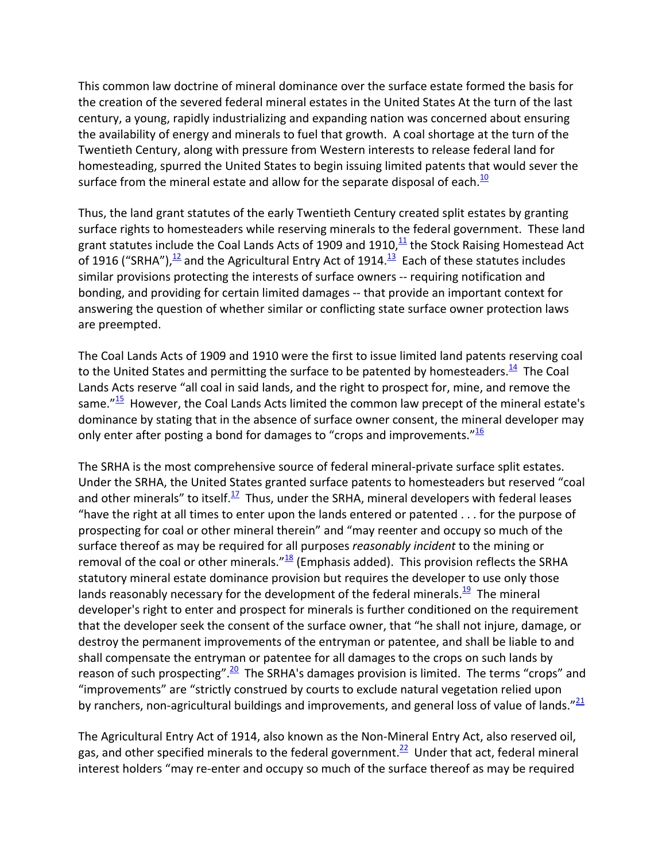This common law doctrine of mineral dominance over the surface estate formed the basis for the creation of the severed federal mineral estates in the United States At the turn of the last century, a young, rapidly industrializing and expanding nation was concerned about ensuring the availability of energy and minerals to fuel that growth. A coal shortage at the turn of the Twentieth Century, along with pressure from Western interests to release federal land for homesteading, spurred the United States to begin issuing limited patents that would sever the surface from the mineral estate and allow for the separate disposal of each.<sup>10</sup>

Thus, the land grant statutes of the early Twentieth Century created split estates by granting surface rights to homesteaders while reserving minerals to the federal government. These land grant statutes include the Coal Lands Acts of 1909 and 1910, $\frac{11}{1}$  the Stock Raising Homestead Act of 1916 ("SRHA"), $\frac{12}{12}$  and the Agricultural Entry Act of 1914. $\frac{13}{12}$  Each of these statutes includes similar provisions protecting the interests of surface owners -- requiring notification and bonding, and providing for certain limited damages ‐‐ that provide an important context for answering the question of whether similar or conflicting state surface owner protection laws are preempted.

The Coal Lands Acts of 1909 and 1910 were the first to issue limited land patents reserving coal to the United States and permitting the surface to be patented by homesteaders.<sup>14</sup> The Coal Lands Acts reserve "all coal in said lands, and the right to prospect for, mine, and remove the same. $^{\prime\prime}$ <sup>15</sup> However, the Coal Lands Acts limited the common law precept of the mineral estate's dominance by stating that in the absence of surface owner consent, the mineral developer may only enter after posting a bond for damages to "crops and improvements." $\frac{16}{16}$ 

The SRHA is the most comprehensive source of federal mineral‐private surface split estates. Under the SRHA, the United States granted surface patents to homesteaders but reserved "coal and other minerals" to itself. $\frac{17}{12}$  Thus, under the SRHA, mineral developers with federal leases "have the right at all times to enter upon the lands entered or patented . . . for the purpose of prospecting for coal or other mineral therein" and "may reenter and occupy so much of the surface thereof as may be required for all purposes *reasonably incident* to the mining or removal of the coal or other minerals." $18$  (Emphasis added). This provision reflects the SRHA statutory mineral estate dominance provision but requires the developer to use only those lands reasonably necessary for the development of the federal minerals. $\frac{19}{12}$  The mineral developer's right to enter and prospect for minerals is further conditioned on the requirement that the developer seek the consent of the surface owner, that "he shall not injure, damage, or destroy the permanent improvements of the entryman or patentee, and shall be liable to and shall compensate the entryman or patentee for all damages to the crops on such lands by reason of such prospecting".<sup>20</sup> The SRHA's damages provision is limited. The terms "crops" and "improvements" are "strictly construed by courts to exclude natural vegetation relied upon by ranchers, non-agricultural buildings and improvements, and general loss of value of lands."<sup>21</sup>

The Agricultural Entry Act of 1914, also known as the Non‐Mineral Entry Act, also reserved oil, gas, and other specified minerals to the federal government.<sup>22</sup> Under that act, federal mineral interest holders "may re-enter and occupy so much of the surface thereof as may be required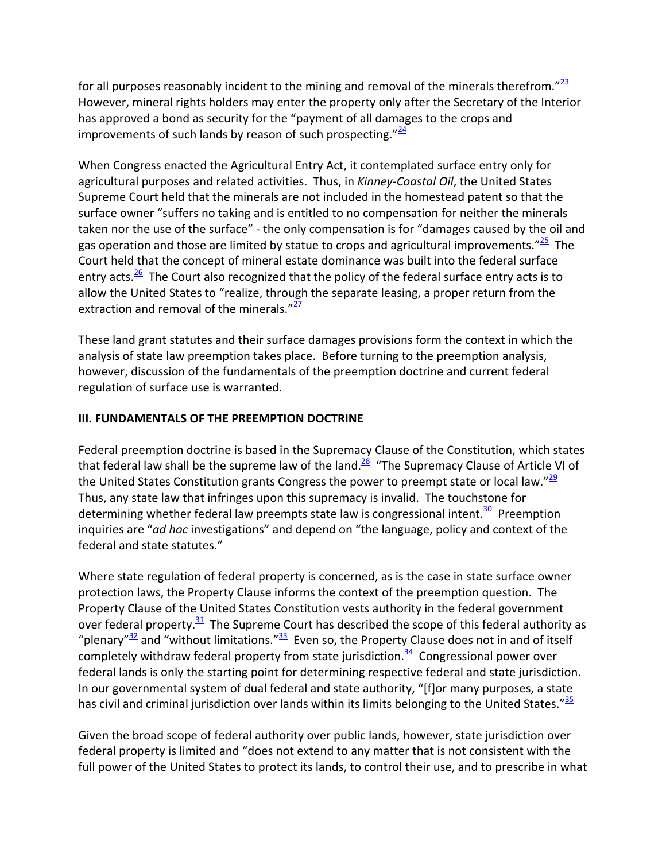for all purposes reasonably incident to the mining and removal of the minerals therefrom." $\frac{23}{2}$ However, mineral rights holders may enter the property only after the Secretary of the Interior has approved a bond as security for the "payment of all damages to the crops and improvements of such lands by reason of such prospecting. $\frac{24}{4}$ 

When Congress enacted the Agricultural Entry Act, it contemplated surface entry only for agricultural purposes and related activities. Thus, in *Kinney‐Coastal Oil*, the United States Supreme Court held that the minerals are not included in the homestead patent so that the surface owner "suffers no taking and is entitled to no compensation for neither the minerals taken nor the use of the surface" ‐ the only compensation is for "damages caused by the oil and gas operation and those are limited by statue to crops and agricultural improvements. $\frac{25}{5}$  The Court held that the concept of mineral estate dominance was built into the federal surface entry acts. $\frac{26}{10}$  The Court also recognized that the policy of the federal surface entry acts is to allow the United States to "realize, through the separate leasing, a proper return from the extraction and removal of the minerals. $v^{27}$ 

These land grant statutes and their surface damages provisions form the context in which the analysis of state law preemption takes place. Before turning to the preemption analysis, however, discussion of the fundamentals of the preemption doctrine and current federal regulation of surface use is warranted.

### **III. FUNDAMENTALS OF THE PREEMPTION DOCTRINE**

Federal preemption doctrine is based in the Supremacy Clause of the Constitution, which states that federal law shall be the supreme law of the land. $\frac{28}{3}$  "The Supremacy Clause of Article VI of the United States Constitution grants Congress the power to preempt state or local law." $\frac{29}{2}$ Thus, any state law that infringes upon this supremacy is invalid. The touchstone for determining whether federal law preempts state law is congressional intent.<sup>30</sup> Preemption inquiries are "*ad hoc* investigations" and depend on "the language, policy and context of the federal and state statutes."

Where state regulation of federal property is concerned, as is the case in state surface owner protection laws, the Property Clause informs the context of the preemption question. The Property Clause of the United States Constitution vests authority in the federal government over federal property. $31$  The Supreme Court has described the scope of this federal authority as "plenary"<sup>32</sup> and "without limitations."<sup>33</sup> Even so, the Property Clause does not in and of itself completely withdraw federal property from state jurisdiction.<sup>34</sup> Congressional power over federal lands is only the starting point for determining respective federal and state jurisdiction. In our governmental system of dual federal and state authority, "[f]or many purposes, a state has civil and criminal jurisdiction over lands within its limits belonging to the United States."<sup>35</sup>

Given the broad scope of federal authority over public lands, however, state jurisdiction over federal property is limited and "does not extend to any matter that is not consistent with the full power of the United States to protect its lands, to control their use, and to prescribe in what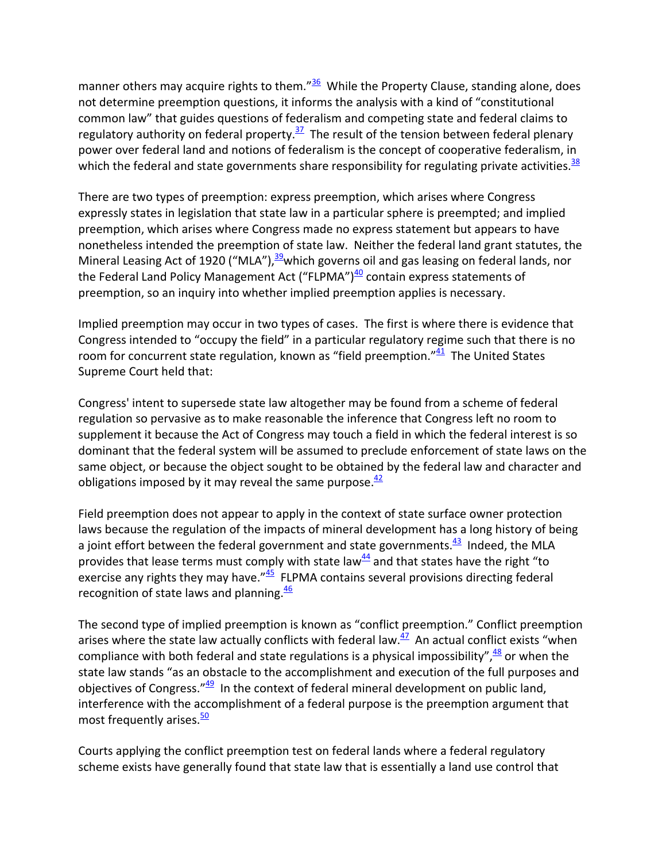manner others may acquire rights to them." $\frac{36}{2}$  While the Property Clause, standing alone, does not determine preemption questions, it informs the analysis with a kind of "constitutional common law" that guides questions of federalism and competing state and federal claims to regulatory authority on federal property.<sup>37</sup> The result of the tension between federal plenary power over federal land and notions of federalism is the concept of cooperative federalism, in which the federal and state governments share responsibility for regulating private activities. $38$ 

There are two types of preemption: express preemption, which arises where Congress expressly states in legislation that state law in a particular sphere is preempted; and implied preemption, which arises where Congress made no express statement but appears to have nonetheless intended the preemption of state law. Neither the federal land grant statutes, the Mineral Leasing Act of 1920 ("MLA"), $39$  which governs oil and gas leasing on federal lands, nor the Federal Land Policy Management Act ("FLPMA") $40$  contain express statements of preemption, so an inquiry into whether implied preemption applies is necessary.

Implied preemption may occur in two types of cases. The first is where there is evidence that Congress intended to "occupy the field" in a particular regulatory regime such that there is no room for concurrent state regulation, known as "field preemption." $41$  The United States Supreme Court held that:

Congress' intent to supersede state law altogether may be found from a scheme of federal regulation so pervasive as to make reasonable the inference that Congress left no room to supplement it because the Act of Congress may touch a field in which the federal interest is so dominant that the federal system will be assumed to preclude enforcement of state laws on the same object, or because the object sought to be obtained by the federal law and character and obligations imposed by it may reveal the same purpose. $\frac{42}{5}$ 

Field preemption does not appear to apply in the context of state surface owner protection laws because the regulation of the impacts of mineral development has a long history of being a joint effort between the federal government and state governments. $43$  Indeed, the MLA provides that lease terms must comply with state law $44$  and that states have the right "to exercise any rights they may have." $45$  FLPMA contains several provisions directing federal recognition of state laws and planning. $\frac{46}{ }$ 

The second type of implied preemption is known as "conflict preemption." Conflict preemption arises where the state law actually conflicts with federal law. $\frac{47}{4}$  An actual conflict exists "when compliance with both federal and state regulations is a physical impossibility",  $\frac{48}{1}$  or when the state law stands "as an obstacle to the accomplishment and execution of the full purposes and objectives of Congress." $49$  In the context of federal mineral development on public land, interference with the accomplishment of a federal purpose is the preemption argument that most frequently arises.<sup>50</sup>

Courts applying the conflict preemption test on federal lands where a federal regulatory scheme exists have generally found that state law that is essentially a land use control that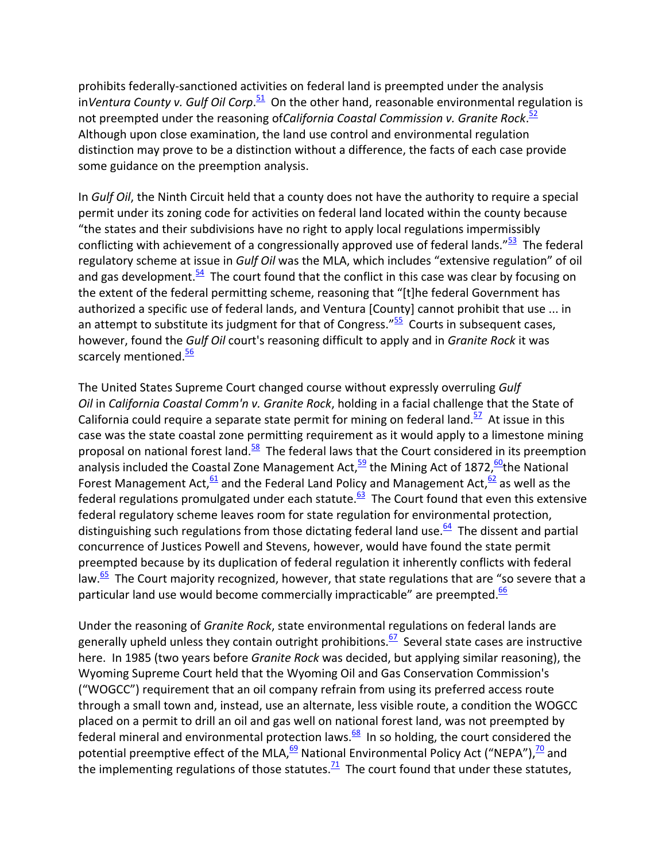prohibits federally‐sanctioned activities on federal land is preempted under the analysis in*Ventura County v. Gulf Oil Corp*. <sup>51</sup> On the other hand, reasonable environmental regulation is not preempted under the reasoning of*California Coastal Commission v. Granite Rock*. 52 Although upon close examination, the land use control and environmental regulation distinction may prove to be a distinction without a difference, the facts of each case provide some guidance on the preemption analysis.

In *Gulf Oil*, the Ninth Circuit held that a county does not have the authority to require a special permit under its zoning code for activities on federal land located within the county because "the states and their subdivisions have no right to apply local regulations impermissibly conflicting with achievement of a congressionally approved use of federal lands."<sup>53</sup> The federal regulatory scheme at issue in *Gulf Oil* was the MLA, which includes "extensive regulation" of oil and gas development. $\frac{54}{2}$  The court found that the conflict in this case was clear by focusing on the extent of the federal permitting scheme, reasoning that "[t]he federal Government has authorized a specific use of federal lands, and Ventura [County] cannot prohibit that use ... in an attempt to substitute its judgment for that of Congress." $55$  Courts in subsequent cases, however, found the *Gulf Oil* court's reasoning difficult to apply and in *Granite Rock* it was scarcely mentioned.<sup>56</sup>

The United States Supreme Court changed course without expressly overruling *Gulf Oil* in *California Coastal Comm'n v. Granite Rock*, holding in a facial challenge that the State of California could require a separate state permit for mining on federal land.<sup>57</sup> At issue in this case was the state coastal zone permitting requirement as it would apply to a limestone mining proposal on national forest land. $58$  The federal laws that the Court considered in its preemption analysis included the Coastal Zone Management Act,  $\frac{59}{2}$  the Mining Act of 1872,  $\frac{60}{2}$ the National Forest Management Act,  $\frac{61}{2}$  and the Federal Land Policy and Management Act,  $\frac{62}{2}$  as well as the federal regulations promulgated under each statute. $\frac{63}{2}$  The Court found that even this extensive federal regulatory scheme leaves room for state regulation for environmental protection, distinguishing such regulations from those dictating federal land use. $\frac{64}{ }$  The dissent and partial concurrence of Justices Powell and Stevens, however, would have found the state permit preempted because by its duplication of federal regulation it inherently conflicts with federal law. $\frac{65}{2}$  The Court majority recognized, however, that state regulations that are "so severe that a particular land use would become commercially impracticable" are preempted. $\frac{66}{6}$ 

Under the reasoning of *Granite Rock*, state environmental regulations on federal lands are generally upheld unless they contain outright prohibitions. $67$  Several state cases are instructive here. In 1985 (two years before *Granite Rock* was decided, but applying similar reasoning), the Wyoming Supreme Court held that the Wyoming Oil and Gas Conservation Commission's ("WOGCC") requirement that an oil company refrain from using its preferred access route through a small town and, instead, use an alternate, less visible route, a condition the WOGCC placed on a permit to drill an oil and gas well on national forest land, was not preempted by federal mineral and environmental protection laws. $68$  In so holding, the court considered the potential preemptive effect of the MLA,  $\frac{69}{2}$  National Environmental Policy Act ("NEPA"),  $\frac{70}{2}$  and the implementing regulations of those statutes.<sup>71</sup> The court found that under these statutes,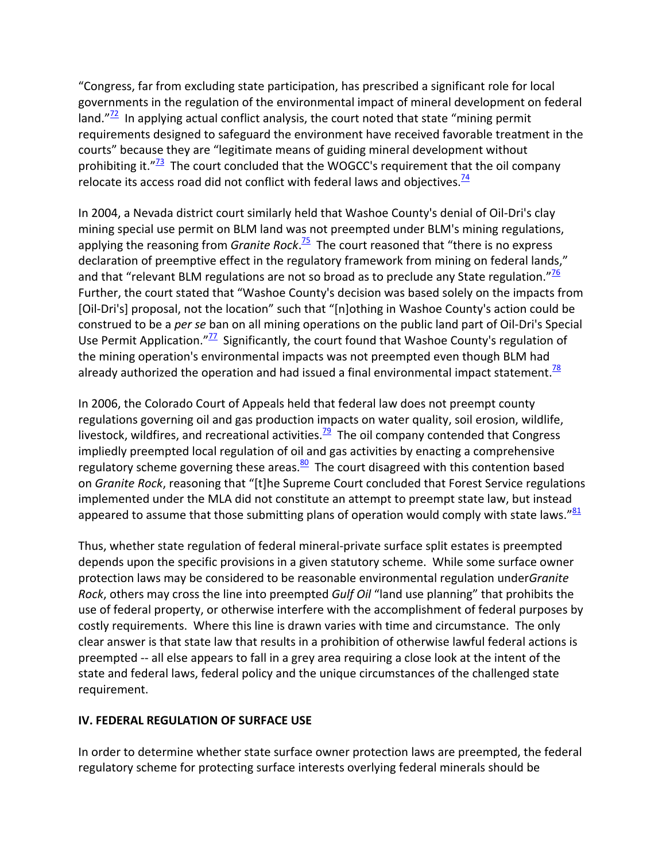"Congress, far from excluding state participation, has prescribed a significant role for local governments in the regulation of the environmental impact of mineral development on federal land. $T^2$  In applying actual conflict analysis, the court noted that state "mining permit requirements designed to safeguard the environment have received favorable treatment in the courts" because they are "legitimate means of guiding mineral development without prohibiting it. $\frac{173}{2}$  The court concluded that the WOGCC's requirement that the oil company relocate its access road did not conflict with federal laws and objectives. $\frac{74}{6}$ 

In 2004, a Nevada district court similarly held that Washoe County's denial of Oil‐Dri's clay mining special use permit on BLM land was not preempted under BLM's mining regulations, applying the reasoning from *Granite Rock*. <sup>75</sup> The court reasoned that "there is no express declaration of preemptive effect in the regulatory framework from mining on federal lands," and that "relevant BLM regulations are not so broad as to preclude any State regulation." $\frac{76}{6}$ Further, the court stated that "Washoe County's decision was based solely on the impacts from [Oil-Dri's] proposal, not the location" such that "[n]othing in Washoe County's action could be construed to be a *per se* ban on all mining operations on the public land part of Oil‐Dri's Special Use Permit Application." $\frac{17}{2}$  Significantly, the court found that Washoe County's regulation of the mining operation's environmental impacts was not preempted even though BLM had already authorized the operation and had issued a final environmental impact statement.<sup>78</sup>

In 2006, the Colorado Court of Appeals held that federal law does not preempt county regulations governing oil and gas production impacts on water quality, soil erosion, wildlife, livestock, wildfires, and recreational activities.<sup>79</sup> The oil company contended that Congress impliedly preempted local regulation of oil and gas activities by enacting a comprehensive regulatory scheme governing these areas. $\frac{80}{2}$  The court disagreed with this contention based on *Granite Rock*, reasoning that "[t]he Supreme Court concluded that Forest Service regulations implemented under the MLA did not constitute an attempt to preempt state law, but instead appeared to assume that those submitting plans of operation would comply with state laws."<sup>81</sup>

Thus, whether state regulation of federal mineral‐private surface split estates is preempted depends upon the specific provisions in a given statutory scheme. While some surface owner protection laws may be considered to be reasonable environmental regulation under*Granite Rock*, others may cross the line into preempted *Gulf Oil* "land use planning" that prohibits the use of federal property, or otherwise interfere with the accomplishment of federal purposes by costly requirements. Where this line is drawn varies with time and circumstance. The only clear answer is that state law that results in a prohibition of otherwise lawful federal actions is preempted ‐‐ all else appears to fall in a grey area requiring a close look at the intent of the state and federal laws, federal policy and the unique circumstances of the challenged state requirement.

## **IV. FEDERAL REGULATION OF SURFACE USE**

In order to determine whether state surface owner protection laws are preempted, the federal regulatory scheme for protecting surface interests overlying federal minerals should be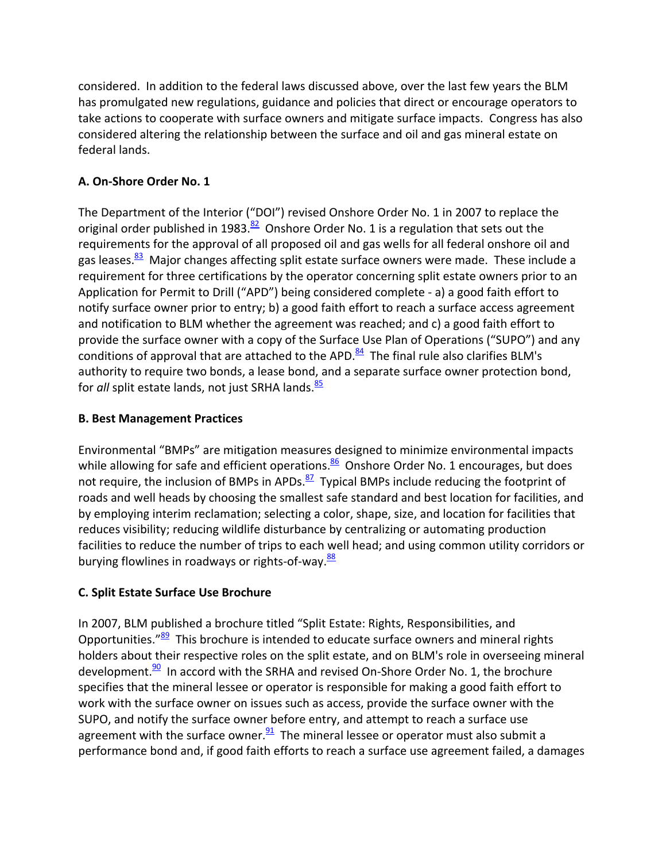considered. In addition to the federal laws discussed above, over the last few years the BLM has promulgated new regulations, guidance and policies that direct or encourage operators to take actions to cooperate with surface owners and mitigate surface impacts. Congress has also considered altering the relationship between the surface and oil and gas mineral estate on federal lands.

# **A. On‐Shore Order No. 1**

The Department of the Interior ("DOI") revised Onshore Order No. 1 in 2007 to replace the original order published in 1983. $\frac{82}{5}$  Onshore Order No. 1 is a regulation that sets out the requirements for the approval of all proposed oil and gas wells for all federal onshore oil and gas leases.<sup>83</sup> Major changes affecting split estate surface owners were made. These include a requirement for three certifications by the operator concerning split estate owners prior to an Application for Permit to Drill ("APD") being considered complete ‐ a) a good faith effort to notify surface owner prior to entry; b) a good faith effort to reach a surface access agreement and notification to BLM whether the agreement was reached; and c) a good faith effort to provide the surface owner with a copy of the Surface Use Plan of Operations ("SUPO") and any conditions of approval that are attached to the APD. $84$  The final rule also clarifies BLM's authority to require two bonds, a lease bond, and a separate surface owner protection bond, for *all* split estate lands, not just SRHA lands.<sup>85</sup>

## **B. Best Management Practices**

Environmental "BMPs" are mitigation measures designed to minimize environmental impacts while allowing for safe and efficient operations. $\frac{86}{5}$  Onshore Order No. 1 encourages, but does not require, the inclusion of BMPs in APDs. $\frac{87}{1}$  Typical BMPs include reducing the footprint of roads and well heads by choosing the smallest safe standard and best location for facilities, and by employing interim reclamation; selecting a color, shape, size, and location for facilities that reduces visibility; reducing wildlife disturbance by centralizing or automating production facilities to reduce the number of trips to each well head; and using common utility corridors or burying flowlines in roadways or rights-of-way.<sup>88</sup>

# **C. Split Estate Surface Use Brochure**

In 2007, BLM published a brochure titled "Split Estate: Rights, Responsibilities, and Opportunities."<sup>89</sup> This brochure is intended to educate surface owners and mineral rights holders about their respective roles on the split estate, and on BLM's role in overseeing mineral development. $90$  In accord with the SRHA and revised On-Shore Order No. 1, the brochure specifies that the mineral lessee or operator is responsible for making a good faith effort to work with the surface owner on issues such as access, provide the surface owner with the SUPO, and notify the surface owner before entry, and attempt to reach a surface use agreement with the surface owner. $\frac{91}{2}$  The mineral lessee or operator must also submit a performance bond and, if good faith efforts to reach a surface use agreement failed, a damages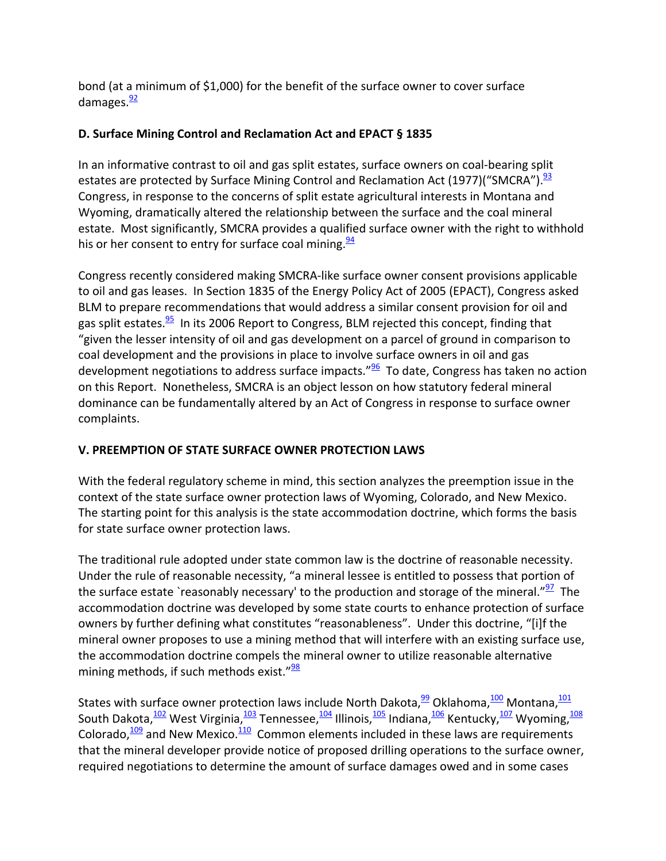bond (at a minimum of \$1,000) for the benefit of the surface owner to cover surface damages. $\frac{92}{2}$ 

## **D. Surface Mining Control and Reclamation Act and EPACT § 1835**

In an informative contrast to oil and gas split estates, surface owners on coal-bearing split estates are protected by Surface Mining Control and Reclamation Act (1977)("SMCRA").<sup>93</sup> Congress, in response to the concerns of split estate agricultural interests in Montana and Wyoming, dramatically altered the relationship between the surface and the coal mineral estate. Most significantly, SMCRA provides a qualified surface owner with the right to withhold his or her consent to entry for surface coal mining. $\frac{94}{5}$ 

Congress recently considered making SMCRA‐like surface owner consent provisions applicable to oil and gas leases. In Section 1835 of the Energy Policy Act of 2005 (EPACT), Congress asked BLM to prepare recommendations that would address a similar consent provision for oil and gas split estates.<sup>95</sup> In its 2006 Report to Congress, BLM rejected this concept, finding that "given the lesser intensity of oil and gas development on a parcel of ground in comparison to coal development and the provisions in place to involve surface owners in oil and gas development negotiations to address surface impacts." $\frac{96}{5}$  To date, Congress has taken no action on this Report. Nonetheless, SMCRA is an object lesson on how statutory federal mineral dominance can be fundamentally altered by an Act of Congress in response to surface owner complaints.

# **V. PREEMPTION OF STATE SURFACE OWNER PROTECTION LAWS**

With the federal regulatory scheme in mind, this section analyzes the preemption issue in the context of the state surface owner protection laws of Wyoming, Colorado, and New Mexico. The starting point for this analysis is the state accommodation doctrine, which forms the basis for state surface owner protection laws.

The traditional rule adopted under state common law is the doctrine of reasonable necessity. Under the rule of reasonable necessity, "a mineral lessee is entitled to possess that portion of the surface estate `reasonably necessary' to the production and storage of the mineral."<sup>97</sup> The accommodation doctrine was developed by some state courts to enhance protection of surface owners by further defining what constitutes "reasonableness". Under this doctrine, "[i]f the mineral owner proposes to use a mining method that will interfere with an existing surface use, the accommodation doctrine compels the mineral owner to utilize reasonable alternative mining methods, if such methods exist." $\frac{98}{28}$ 

States with surface owner protection laws include North Dakota,  $\frac{99}{2}$  Oklahoma,  $\frac{100}{2}$  Montana,  $\frac{101}{2}$ South Dakota, <sup>102</sup> West Virginia, <sup>103</sup> Tennessee, <sup>104</sup> Illinois, <sup>105</sup> Indiana, <sup>106</sup> Kentucky, <sup>107</sup> Wyoming, <sup>108</sup> Colorado, $\frac{109}{109}$  and New Mexico. $\frac{110}{100}$  Common elements included in these laws are requirements that the mineral developer provide notice of proposed drilling operations to the surface owner, required negotiations to determine the amount of surface damages owed and in some cases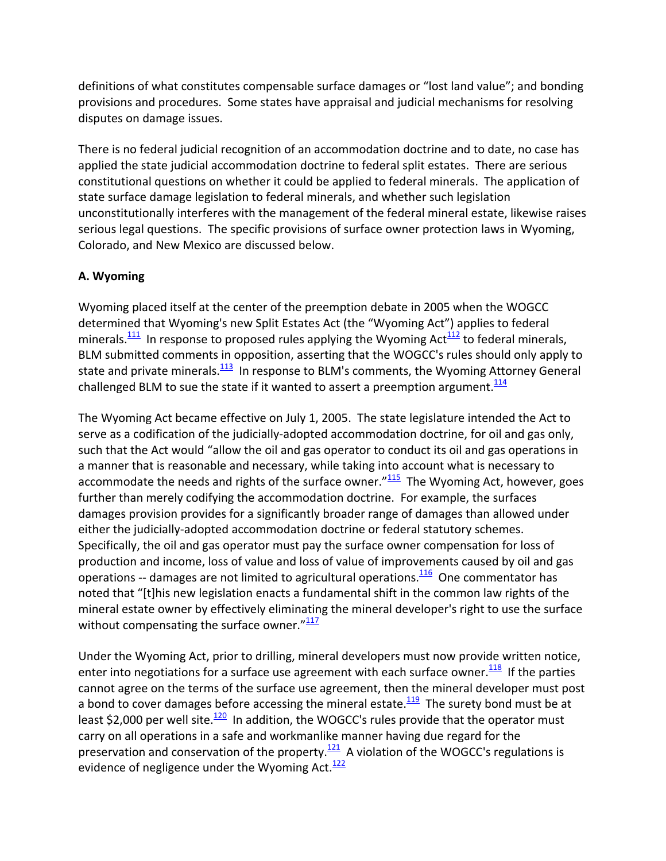definitions of what constitutes compensable surface damages or "lost land value"; and bonding provisions and procedures. Some states have appraisal and judicial mechanisms for resolving disputes on damage issues.

There is no federal judicial recognition of an accommodation doctrine and to date, no case has applied the state judicial accommodation doctrine to federal split estates. There are serious constitutional questions on whether it could be applied to federal minerals. The application of state surface damage legislation to federal minerals, and whether such legislation unconstitutionally interferes with the management of the federal mineral estate, likewise raises serious legal questions. The specific provisions of surface owner protection laws in Wyoming, Colorado, and New Mexico are discussed below.

## **A. Wyoming**

Wyoming placed itself at the center of the preemption debate in 2005 when the WOGCC determined that Wyoming's new Split Estates Act (the "Wyoming Act") applies to federal minerals. $\frac{111}{111}$  In response to proposed rules applying the Wyoming Act $\frac{112}{112}$  to federal minerals, BLM submitted comments in opposition, asserting that the WOGCC's rules should only apply to state and private minerals. $\frac{113}{113}$  In response to BLM's comments, the Wyoming Attorney General challenged BLM to sue the state if it wanted to assert a preemption argument.<sup>114</sup>

The Wyoming Act became effective on July 1, 2005. The state legislature intended the Act to serve as a codification of the judicially-adopted accommodation doctrine, for oil and gas only, such that the Act would "allow the oil and gas operator to conduct its oil and gas operations in a manner that is reasonable and necessary, while taking into account what is necessary to accommodate the needs and rights of the surface owner." $115$  The Wyoming Act, however, goes further than merely codifying the accommodation doctrine. For example, the surfaces damages provision provides for a significantly broader range of damages than allowed under either the judicially‐adopted accommodation doctrine or federal statutory schemes. Specifically, the oil and gas operator must pay the surface owner compensation for loss of production and income, loss of value and loss of value of improvements caused by oil and gas operations -- damages are not limited to agricultural operations.<sup>116</sup> One commentator has noted that "[t]his new legislation enacts a fundamental shift in the common law rights of the mineral estate owner by effectively eliminating the mineral developer's right to use the surface without compensating the surface owner. $\frac{n117}{112}$ 

Under the Wyoming Act, prior to drilling, mineral developers must now provide written notice, enter into negotiations for a surface use agreement with each surface owner. $\frac{118}{118}$  If the parties cannot agree on the terms of the surface use agreement, then the mineral developer must post a bond to cover damages before accessing the mineral estate. $\frac{119}{12}$  The surety bond must be at least \$2,000 per well site. $\frac{120}{2}$  In addition, the WOGCC's rules provide that the operator must carry on all operations in a safe and workmanlike manner having due regard for the preservation and conservation of the property. $121$  A violation of the WOGCC's regulations is evidence of negligence under the Wyoming Act. $\frac{122}{122}$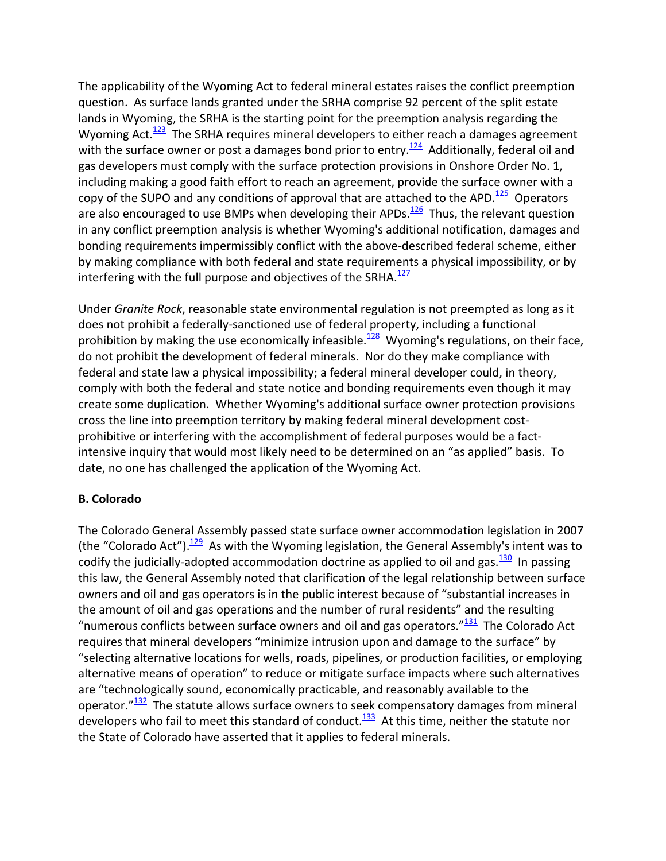The applicability of the Wyoming Act to federal mineral estates raises the conflict preemption question. As surface lands granted under the SRHA comprise 92 percent of the split estate lands in Wyoming, the SRHA is the starting point for the preemption analysis regarding the Wyoming Act. $\frac{123}{123}$  The SRHA requires mineral developers to either reach a damages agreement with the surface owner or post a damages bond prior to entry.<sup>124</sup> Additionally, federal oil and gas developers must comply with the surface protection provisions in Onshore Order No. 1, including making a good faith effort to reach an agreement, provide the surface owner with a copy of the SUPO and any conditions of approval that are attached to the APD. $\frac{125}{125}$  Operators are also encouraged to use BMPs when developing their APDs. $\frac{126}{120}$  Thus, the relevant question in any conflict preemption analysis is whether Wyoming's additional notification, damages and bonding requirements impermissibly conflict with the above‐described federal scheme, either by making compliance with both federal and state requirements a physical impossibility, or by interfering with the full purpose and objectives of the SRHA. $127$ 

Under *Granite Rock*, reasonable state environmental regulation is not preempted as long as it does not prohibit a federally‐sanctioned use of federal property, including a functional prohibition by making the use economically infeasible.<sup>128</sup> Wyoming's regulations, on their face, do not prohibit the development of federal minerals. Nor do they make compliance with federal and state law a physical impossibility; a federal mineral developer could, in theory, comply with both the federal and state notice and bonding requirements even though it may create some duplication. Whether Wyoming's additional surface owner protection provisions cross the line into preemption territory by making federal mineral development cost‐ prohibitive or interfering with the accomplishment of federal purposes would be a fact‐ intensive inquiry that would most likely need to be determined on an "as applied" basis. To date, no one has challenged the application of the Wyoming Act.

### **B. Colorado**

The Colorado General Assembly passed state surface owner accommodation legislation in 2007 (the "Colorado Act"). $\frac{129}{129}$  As with the Wyoming legislation, the General Assembly's intent was to codify the judicially-adopted accommodation doctrine as applied to oil and gas. $\frac{130}{130}$  In passing this law, the General Assembly noted that clarification of the legal relationship between surface owners and oil and gas operators is in the public interest because of "substantial increases in the amount of oil and gas operations and the number of rural residents" and the resulting "numerous conflicts between surface owners and oil and gas operators." $\frac{131}{131}$  The Colorado Act requires that mineral developers "minimize intrusion upon and damage to the surface" by "selecting alternative locations for wells, roads, pipelines, or production facilities, or employing alternative means of operation" to reduce or mitigate surface impacts where such alternatives are "technologically sound, economically practicable, and reasonably available to the operator. $\frac{132}{132}$  The statute allows surface owners to seek compensatory damages from mineral developers who fail to meet this standard of conduct.<sup>133</sup> At this time, neither the statute nor the State of Colorado have asserted that it applies to federal minerals.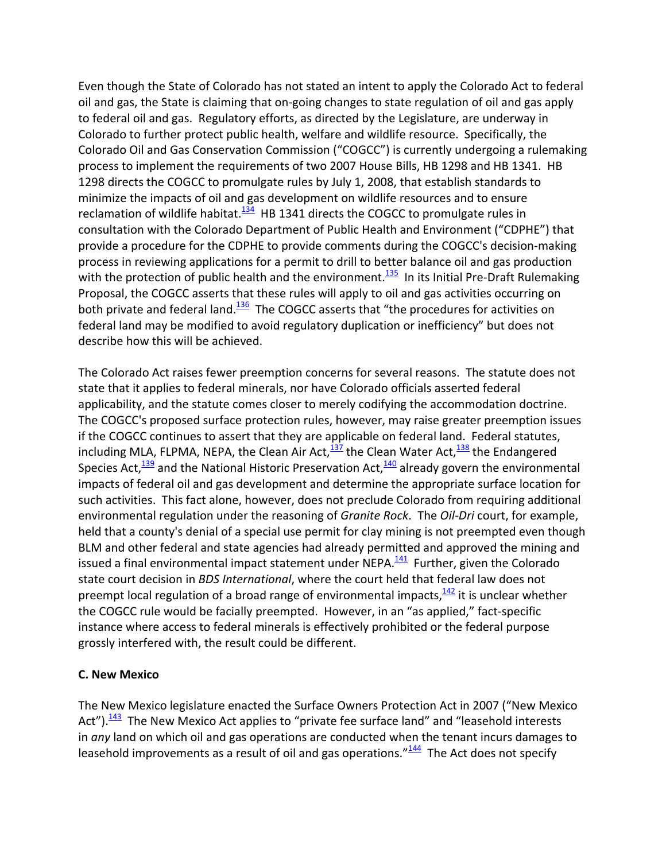Even though the State of Colorado has not stated an intent to apply the Colorado Act to federal oil and gas, the State is claiming that on‐going changes to state regulation of oil and gas apply to federal oil and gas. Regulatory efforts, as directed by the Legislature, are underway in Colorado to further protect public health, welfare and wildlife resource. Specifically, the Colorado Oil and Gas Conservation Commission ("COGCC") is currently undergoing a rulemaking process to implement the requirements of two 2007 House Bills, HB 1298 and HB 1341. HB 1298 directs the COGCC to promulgate rules by July 1, 2008, that establish standards to minimize the impacts of oil and gas development on wildlife resources and to ensure reclamation of wildlife habitat. $134$  HB 1341 directs the COGCC to promulgate rules in consultation with the Colorado Department of Public Health and Environment ("CDPHE") that provide a procedure for the CDPHE to provide comments during the COGCC's decision‐making process in reviewing applications for a permit to drill to better balance oil and gas production with the protection of public health and the environment.<sup>135</sup> In its Initial Pre-Draft Rulemaking Proposal, the COGCC asserts that these rules will apply to oil and gas activities occurring on both private and federal land.<sup>136</sup> The COGCC asserts that "the procedures for activities on federal land may be modified to avoid regulatory duplication or inefficiency" but does not describe how this will be achieved.

The Colorado Act raises fewer preemption concerns for several reasons. The statute does not state that it applies to federal minerals, nor have Colorado officials asserted federal applicability, and the statute comes closer to merely codifying the accommodation doctrine. The COGCC's proposed surface protection rules, however, may raise greater preemption issues if the COGCC continues to assert that they are applicable on federal land. Federal statutes, including MLA, FLPMA, NEPA, the Clean Air Act, $\frac{137}{2}$  the Clean Water Act, $\frac{138}{2}$  the Endangered Species Act, $\frac{139}{132}$  and the National Historic Preservation Act, $\frac{140}{130}$  already govern the environmental impacts of federal oil and gas development and determine the appropriate surface location for such activities. This fact alone, however, does not preclude Colorado from requiring additional environmental regulation under the reasoning of *Granite Rock*. The *Oil‐Dri* court, for example, held that a county's denial of a special use permit for clay mining is not preempted even though BLM and other federal and state agencies had already permitted and approved the mining and issued a final environmental impact statement under NEPA. $\frac{141}{12}$  Further, given the Colorado state court decision in *BDS International*, where the court held that federal law does not preempt local regulation of a broad range of environmental impacts, $142$  it is unclear whether the COGCC rule would be facially preempted. However, in an "as applied," fact‐specific instance where access to federal minerals is effectively prohibited or the federal purpose grossly interfered with, the result could be different.

### **C. New Mexico**

The New Mexico legislature enacted the Surface Owners Protection Act in 2007 ("New Mexico Act"). $\frac{143}{1}$  The New Mexico Act applies to "private fee surface land" and "leasehold interests in *any* land on which oil and gas operations are conducted when the tenant incurs damages to leasehold improvements as a result of oil and gas operations." $144$  The Act does not specify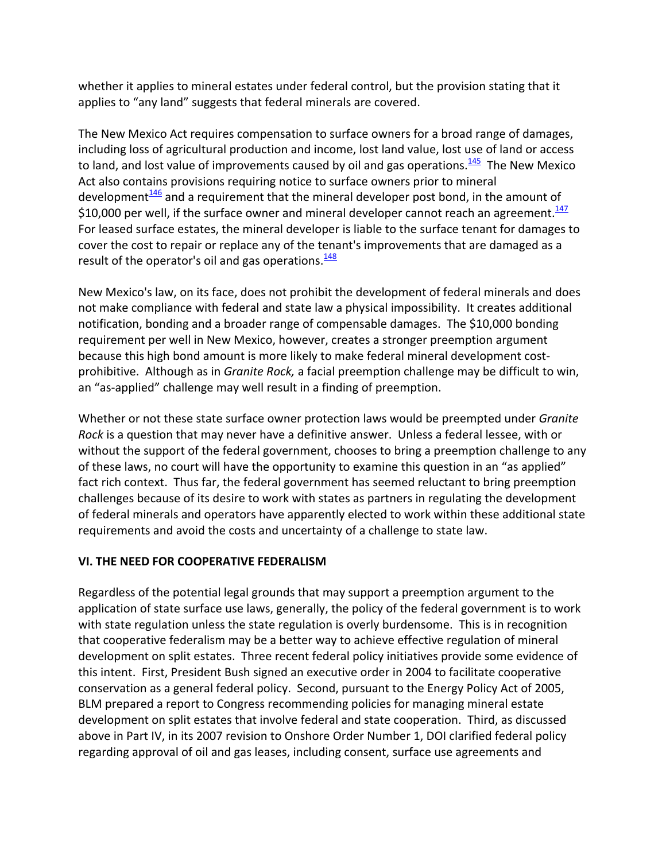whether it applies to mineral estates under federal control, but the provision stating that it applies to "any land" suggests that federal minerals are covered.

The New Mexico Act requires compensation to surface owners for a broad range of damages, including loss of agricultural production and income, lost land value, lost use of land or access to land, and lost value of improvements caused by oil and gas operations. $145$  The New Mexico Act also contains provisions requiring notice to surface owners prior to mineral development $146$  and a requirement that the mineral developer post bond, in the amount of \$10,000 per well, if the surface owner and mineral developer cannot reach an agreement. $147$ For leased surface estates, the mineral developer is liable to the surface tenant for damages to cover the cost to repair or replace any of the tenant's improvements that are damaged as a result of the operator's oil and gas operations. $\frac{148}{148}$ 

New Mexico's law, on its face, does not prohibit the development of federal minerals and does not make compliance with federal and state law a physical impossibility. It creates additional notification, bonding and a broader range of compensable damages. The \$10,000 bonding requirement per well in New Mexico, however, creates a stronger preemption argument because this high bond amount is more likely to make federal mineral development cost‐ prohibitive. Although as in *Granite Rock,* a facial preemption challenge may be difficult to win, an "as‐applied" challenge may well result in a finding of preemption.

Whether or not these state surface owner protection laws would be preempted under *Granite Rock* is a question that may never have a definitive answer. Unless a federal lessee, with or without the support of the federal government, chooses to bring a preemption challenge to any of these laws, no court will have the opportunity to examine this question in an "as applied" fact rich context. Thus far, the federal government has seemed reluctant to bring preemption challenges because of its desire to work with states as partners in regulating the development of federal minerals and operators have apparently elected to work within these additional state requirements and avoid the costs and uncertainty of a challenge to state law.

## **VI. THE NEED FOR COOPERATIVE FEDERALISM**

Regardless of the potential legal grounds that may support a preemption argument to the application of state surface use laws, generally, the policy of the federal government is to work with state regulation unless the state regulation is overly burdensome. This is in recognition that cooperative federalism may be a better way to achieve effective regulation of mineral development on split estates. Three recent federal policy initiatives provide some evidence of this intent. First, President Bush signed an executive order in 2004 to facilitate cooperative conservation as a general federal policy. Second, pursuant to the Energy Policy Act of 2005, BLM prepared a report to Congress recommending policies for managing mineral estate development on split estates that involve federal and state cooperation. Third, as discussed above in Part IV, in its 2007 revision to Onshore Order Number 1, DOI clarified federal policy regarding approval of oil and gas leases, including consent, surface use agreements and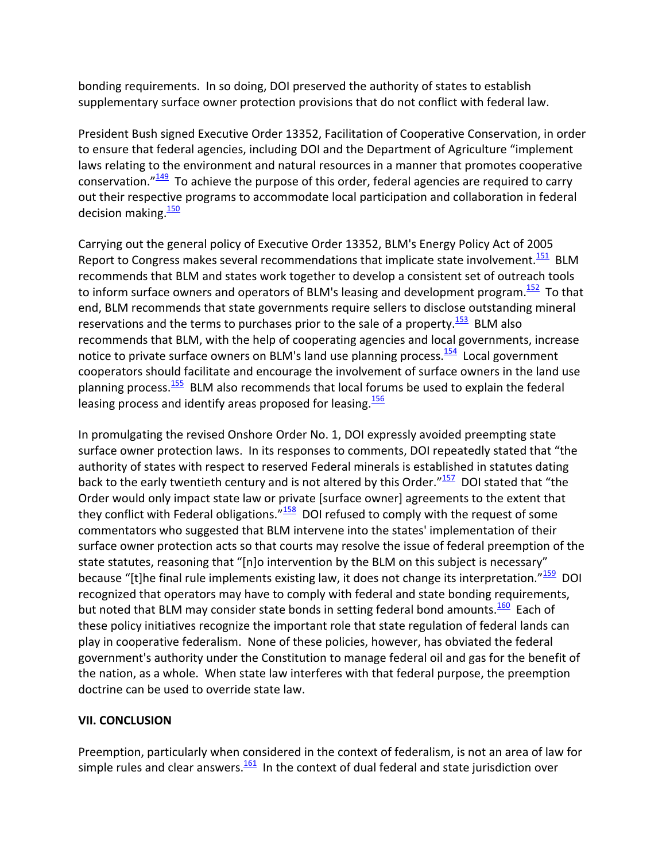bonding requirements. In so doing, DOI preserved the authority of states to establish supplementary surface owner protection provisions that do not conflict with federal law.

President Bush signed Executive Order 13352, Facilitation of Cooperative Conservation, in order to ensure that federal agencies, including DOI and the Department of Agriculture "implement laws relating to the environment and natural resources in a manner that promotes cooperative conservation." $\frac{149}{12}$  To achieve the purpose of this order, federal agencies are required to carry out their respective programs to accommodate local participation and collaboration in federal decision making. $\frac{150}{150}$ 

Carrying out the general policy of Executive Order 13352, BLM's Energy Policy Act of 2005 Report to Congress makes several recommendations that implicate state involvement. $\frac{151}{151}$  BLM recommends that BLM and states work together to develop a consistent set of outreach tools to inform surface owners and operators of BLM's leasing and development program.<sup>152</sup> To that end, BLM recommends that state governments require sellers to disclose outstanding mineral reservations and the terms to purchases prior to the sale of a property.<sup>153</sup> BLM also recommends that BLM, with the help of cooperating agencies and local governments, increase notice to private surface owners on BLM's land use planning process. $154$  Local government cooperators should facilitate and encourage the involvement of surface owners in the land use planning process.<sup>155</sup> BLM also recommends that local forums be used to explain the federal leasing process and identify areas proposed for leasing  $\frac{156}{156}$ 

In promulgating the revised Onshore Order No. 1, DOI expressly avoided preempting state surface owner protection laws. In its responses to comments, DOI repeatedly stated that "the authority of states with respect to reserved Federal minerals is established in statutes dating back to the early twentieth century and is not altered by this Order." $157$  DOI stated that "the Order would only impact state law or private [surface owner] agreements to the extent that they conflict with Federal obligations." $158$  DOI refused to comply with the request of some commentators who suggested that BLM intervene into the states' implementation of their surface owner protection acts so that courts may resolve the issue of federal preemption of the state statutes, reasoning that "[n]o intervention by the BLM on this subject is necessary" because "[t]he final rule implements existing law, it does not change its interpretation." $159$  DOI recognized that operators may have to comply with federal and state bonding requirements, but noted that BLM may consider state bonds in setting federal bond amounts.<sup>160</sup> Each of these policy initiatives recognize the important role that state regulation of federal lands can play in cooperative federalism. None of these policies, however, has obviated the federal government's authority under the Constitution to manage federal oil and gas for the benefit of the nation, as a whole. When state law interferes with that federal purpose, the preemption doctrine can be used to override state law.

## **VII. CONCLUSION**

Preemption, particularly when considered in the context of federalism, is not an area of law for simple rules and clear answers. $\frac{161}{101}$  In the context of dual federal and state jurisdiction over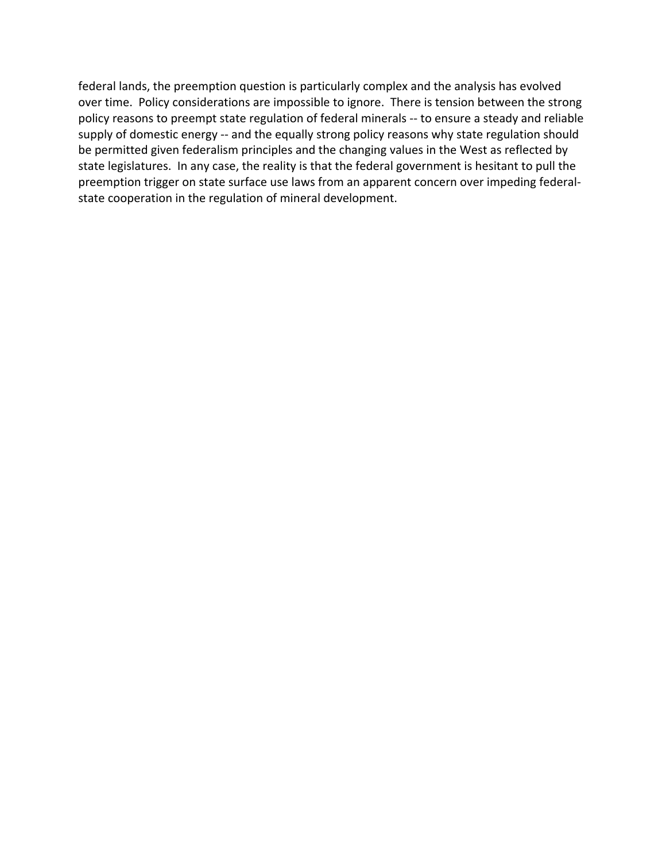federal lands, the preemption question is particularly complex and the analysis has evolved over time. Policy considerations are impossible to ignore. There is tension between the strong policy reasons to preempt state regulation of federal minerals ‐‐ to ensure a steady and reliable supply of domestic energy -- and the equally strong policy reasons why state regulation should be permitted given federalism principles and the changing values in the West as reflected by state legislatures. In any case, the reality is that the federal government is hesitant to pull the preemption trigger on state surface use laws from an apparent concern over impeding federal‐ state cooperation in the regulation of mineral development.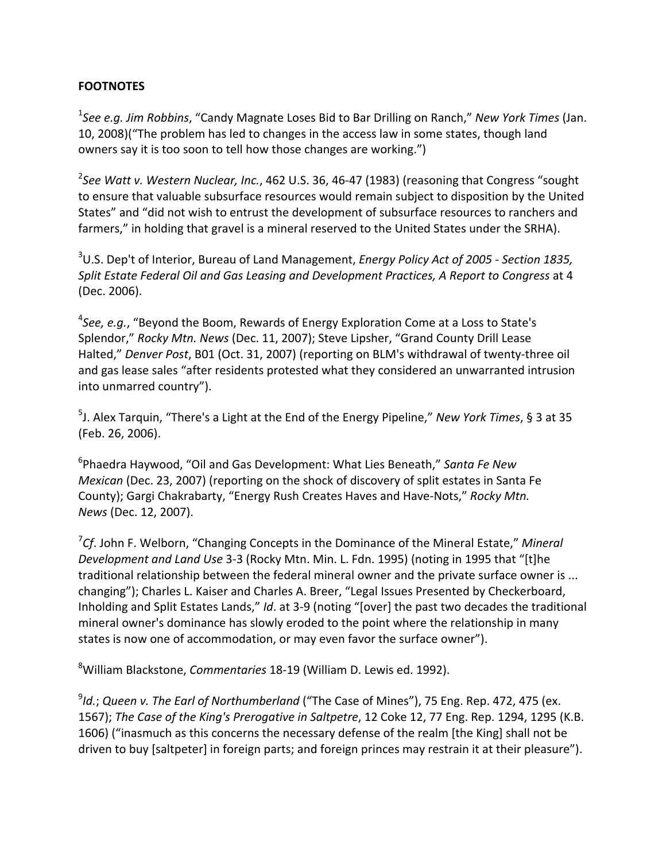### **FOOTNOTES**

1 *See e.g. Jim Robbins*, "Candy Magnate Loses Bid to Bar Drilling on Ranch," *New York Times* (Jan. 10, 2008)("The problem has led to changes in the access law in some states, though land owners say it is too soon to tell how those changes are working.")

2 *See Watt v. Western Nuclear, Inc.*, 462 U.S. 36, 46‐47 (1983) (reasoning that Congress "sought to ensure that valuable subsurface resources would remain subject to disposition by the United States" and "did not wish to entrust the development of subsurface resources to ranchers and farmers," in holding that gravel is a mineral reserved to the United States under the SRHA).

3 U.S. Dep't of Interior, Bureau of Land Management, *Energy Policy Act of 2005 ‐ Section 1835, Split Estate Federal Oil and Gas Leasing and Development Practices, A Report to Congress* at 4 (Dec. 2006).

4 *See, e.g.*, "Beyond the Boom, Rewards of Energy Exploration Come at a Loss to State's Splendor," *Rocky Mtn. News* (Dec. 11, 2007); Steve Lipsher, "Grand County Drill Lease Halted," *Denver Post*, B01 (Oct. 31, 2007) (reporting on BLM's withdrawal of twenty‐three oil and gas lease sales "after residents protested what they considered an unwarranted intrusion into unmarred country").

5 J. Alex Tarquin, "There's a Light at the End of the Energy Pipeline," *New York Times*, § 3 at 35 (Feb. 26, 2006).

6 Phaedra Haywood, "Oil and Gas Development: What Lies Beneath," *Santa Fe New Mexican* (Dec. 23, 2007) (reporting on the shock of discovery of split estates in Santa Fe County); Gargi Chakrabarty, "Energy Rush Creates Haves and Have‐Nots," *Rocky Mtn. News* (Dec. 12, 2007).

7 *Cf*. John F. Welborn, "Changing Concepts in the Dominance of the Mineral Estate," *Mineral Development and Land Use* 3‐3 (Rocky Mtn. Min. L. Fdn. 1995) (noting in 1995 that "[t]he traditional relationship between the federal mineral owner and the private surface owner is ... changing"); Charles L. Kaiser and Charles A. Breer, "Legal Issues Presented by Checkerboard, Inholding and Split Estates Lands," *Id*. at 3‐9 (noting "[over] the past two decades the traditional mineral owner's dominance has slowly eroded to the point where the relationship in many states is now one of accommodation, or may even favor the surface owner").

8 William Blackstone, *Commentaries* 18‐19 (William D. Lewis ed. 1992).

9 *Id.*; *Queen v. The Earl of Northumberland* ("The Case of Mines"), 75 Eng. Rep. 472, 475 (ex. 1567); *The Case of the King's Prerogative in Saltpetre*, 12 Coke 12, 77 Eng. Rep. 1294, 1295 (K.B. 1606) ("inasmuch as this concerns the necessary defense of the realm [the King] shall not be driven to buy [saltpeter] in foreign parts; and foreign princes may restrain it at their pleasure").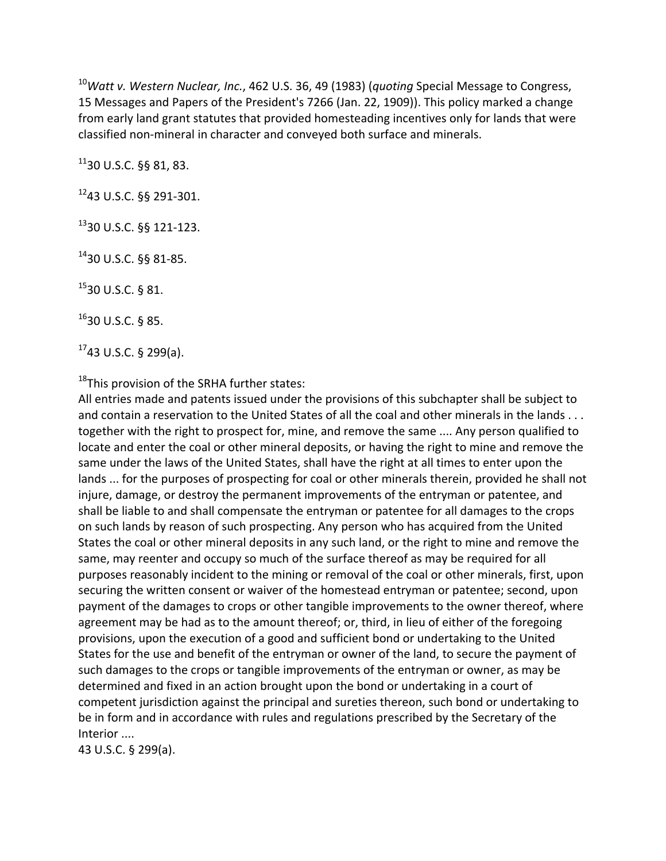<sup>10</sup>*Watt v. Western Nuclear, Inc.*, 462 U.S. 36, 49 (1983) (*quoting* Special Message to Congress, 15 Messages and Papers of the President's 7266 (Jan. 22, 1909)). This policy marked a change from early land grant statutes that provided homesteading incentives only for lands that were classified non‐mineral in character and conveyed both surface and minerals.

 $11$ 30 U.S.C. §§ 81, 83.

1243 U.S.C. §§ 291‐301.

1330 U.S.C. §§ 121‐123.

1430 U.S.C. §§ 81‐85.

1530 U.S.C. § 81.

 $16$ 30 U.S.C. § 85.

 $1743$  U.S.C. § 299(a).

 $18$ This provision of the SRHA further states:

All entries made and patents issued under the provisions of this subchapter shall be subject to and contain a reservation to the United States of all the coal and other minerals in the lands . . . together with the right to prospect for, mine, and remove the same .... Any person qualified to locate and enter the coal or other mineral deposits, or having the right to mine and remove the same under the laws of the United States, shall have the right at all times to enter upon the lands ... for the purposes of prospecting for coal or other minerals therein, provided he shall not injure, damage, or destroy the permanent improvements of the entryman or patentee, and shall be liable to and shall compensate the entryman or patentee for all damages to the crops on such lands by reason of such prospecting. Any person who has acquired from the United States the coal or other mineral deposits in any such land, or the right to mine and remove the same, may reenter and occupy so much of the surface thereof as may be required for all purposes reasonably incident to the mining or removal of the coal or other minerals, first, upon securing the written consent or waiver of the homestead entryman or patentee; second, upon payment of the damages to crops or other tangible improvements to the owner thereof, where agreement may be had as to the amount thereof; or, third, in lieu of either of the foregoing provisions, upon the execution of a good and sufficient bond or undertaking to the United States for the use and benefit of the entryman or owner of the land, to secure the payment of such damages to the crops or tangible improvements of the entryman or owner, as may be determined and fixed in an action brought upon the bond or undertaking in a court of competent jurisdiction against the principal and sureties thereon, such bond or undertaking to be in form and in accordance with rules and regulations prescribed by the Secretary of the Interior ....

43 U.S.C. § 299(a).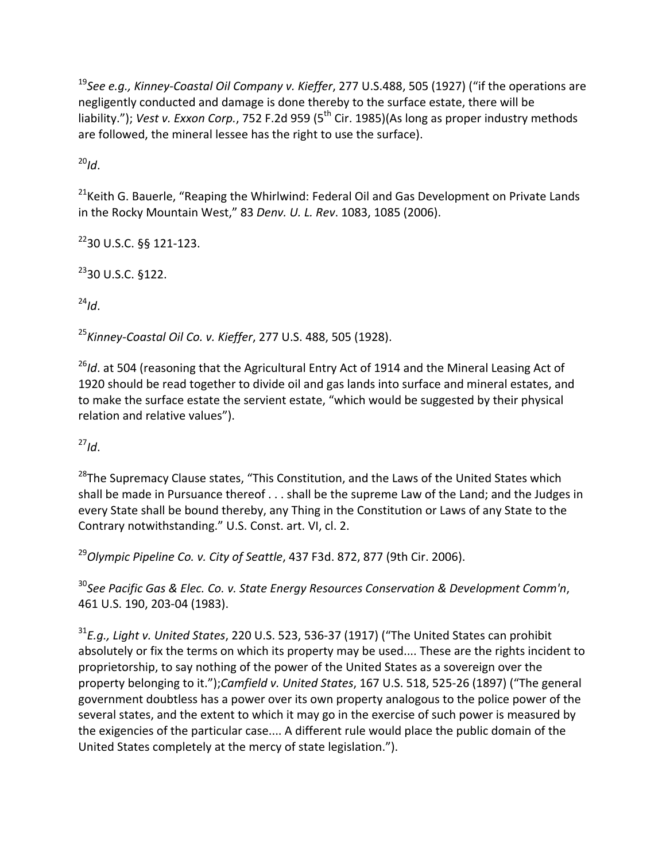<sup>19</sup>*See e.g., Kinney‐Coastal Oil Company v. Kieffer*, 277 U.S.488, 505 (1927) ("if the operations are negligently conducted and damage is done thereby to the surface estate, there will be liability."); *Vest v. Exxon Corp.*, 752 F.2d 959 (5<sup>th</sup> Cir. 1985)(As long as proper industry methods are followed, the mineral lessee has the right to use the surface).

 $^{20}$ *Id*.

<sup>21</sup>Keith G. Bauerle, "Reaping the Whirlwind: Federal Oil and Gas Development on Private Lands in the Rocky Mountain West," 83 *Denv. U. L. Rev*. 1083, 1085 (2006).

 $^{22}$ 30 U.S.C. §§ 121-123.

 $^{23}$ 30 U.S.C. §122.

 $^{24}$ *Id*.

<sup>25</sup>*Kinney‐Coastal Oil Co. v. Kieffer*, 277 U.S. 488, 505 (1928).

<sup>26</sup>Id. at 504 (reasoning that the Agricultural Entry Act of 1914 and the Mineral Leasing Act of 1920 should be read together to divide oil and gas lands into surface and mineral estates, and to make the surface estate the servient estate, "which would be suggested by their physical relation and relative values").

 $^{27}$ *Id*.

<sup>28</sup>The Supremacy Clause states, "This Constitution, and the Laws of the United States which shall be made in Pursuance thereof . . . shall be the supreme Law of the Land; and the Judges in every State shall be bound thereby, any Thing in the Constitution or Laws of any State to the Contrary notwithstanding." U.S. Const. art. VI, cl. 2.

<sup>29</sup>*Olympic Pipeline Co. v. City of Seattle*, 437 F3d. 872, 877 (9th Cir. 2006).

<sup>30</sup>*See Pacific Gas & Elec. Co. v. State Energy Resources Conservation & Development Comm'n*, 461 U.S. 190, 203‐04 (1983).

<sup>31</sup>*E.g., Light v. United States*, 220 U.S. 523, 536‐37 (1917) ("The United States can prohibit absolutely or fix the terms on which its property may be used.... These are the rights incident to proprietorship, to say nothing of the power of the United States as a sovereign over the property belonging to it.");*Camfield v. United States*, 167 U.S. 518, 525‐26 (1897) ("The general government doubtless has a power over its own property analogous to the police power of the several states, and the extent to which it may go in the exercise of such power is measured by the exigencies of the particular case.... A different rule would place the public domain of the United States completely at the mercy of state legislation.").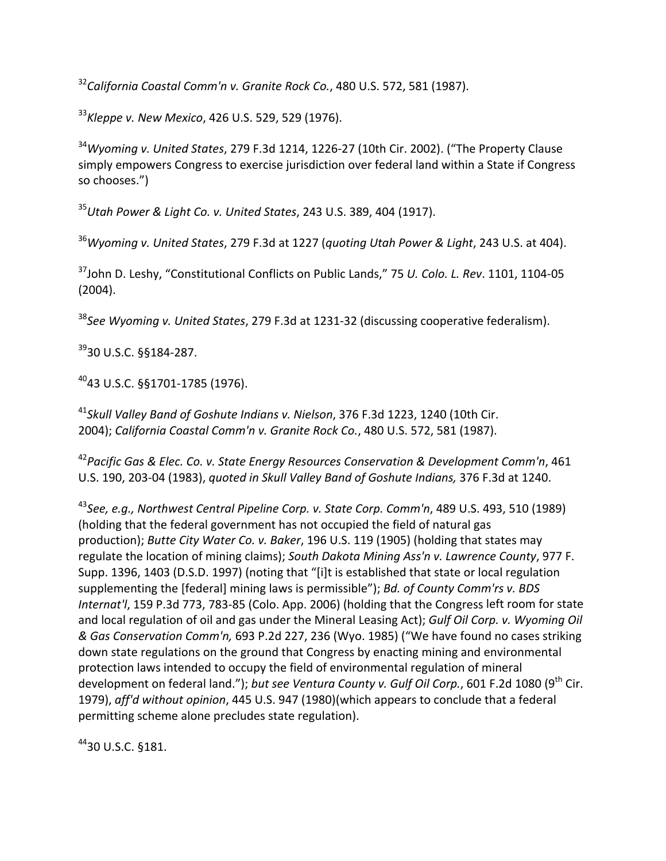<sup>32</sup>*California Coastal Comm'n v. Granite Rock Co.*, 480 U.S. 572, 581 (1987).

<sup>33</sup>*Kleppe v. New Mexico*, 426 U.S. 529, 529 (1976).

<sup>34</sup>*Wyoming v. United States*, 279 F.3d 1214, 1226‐27 (10th Cir. 2002). ("The Property Clause simply empowers Congress to exercise jurisdiction over federal land within a State if Congress so chooses.")

<sup>35</sup>*Utah Power & Light Co. v. United States*, 243 U.S. 389, 404 (1917).

<sup>36</sup>*Wyoming v. United States*, 279 F.3d at 1227 (*quoting Utah Power & Light*, 243 U.S. at 404).

37John D. Leshy, "Constitutional Conflicts on Public Lands," 75 *U. Colo. L. Rev*. 1101, 1104‐05 (2004).

<sup>38</sup>*See Wyoming v. United States*, 279 F.3d at 1231‐32 (discussing cooperative federalism).

3930 U.S.C. §§184‐287.

 $^{40}$ 43 U.S.C. §§1701-1785 (1976).

<sup>41</sup>*Skull Valley Band of Goshute Indians v. Nielson*, 376 F.3d 1223, 1240 (10th Cir. 2004); *California Coastal Comm'n v. Granite Rock Co.*, 480 U.S. 572, 581 (1987).

<sup>42</sup>*Pacific Gas & Elec. Co. v. State Energy Resources Conservation & Development Comm'n*, 461 U.S. 190, 203‐04 (1983), *quoted in Skull Valley Band of Goshute Indians,* 376 F.3d at 1240.

<sup>43</sup>*See, e.g., Northwest Central Pipeline Corp. v. State Corp. Comm'n*, 489 U.S. 493, 510 (1989) (holding that the federal government has not occupied the field of natural gas production); *Butte City Water Co. v. Baker*, 196 U.S. 119 (1905) (holding that states may regulate the location of mining claims); *South Dakota Mining Ass'n v. Lawrence County*, 977 F. Supp. 1396, 1403 (D.S.D. 1997) (noting that "[i]t is established that state or local regulation supplementing the [federal] mining laws is permissible"); *Bd. of County Comm'rs v. BDS Internat'l*, 159 P.3d 773, 783‐85 (Colo. App. 2006) (holding that the Congress left room for state and local regulation of oil and gas under the Mineral Leasing Act); *Gulf Oil Corp. v. Wyoming Oil & Gas Conservation Comm'n,* 693 P.2d 227, 236 (Wyo. 1985) ("We have found no cases striking down state regulations on the ground that Congress by enacting mining and environmental protection laws intended to occupy the field of environmental regulation of mineral development on federal land."); but see Ventura County v. Gulf Oil Corp., 601 F.2d 1080 (9<sup>th</sup> Cir. 1979), *aff'd without opinion*, 445 U.S. 947 (1980)(which appears to conclude that a federal permitting scheme alone precludes state regulation).

4430 U.S.C. §181.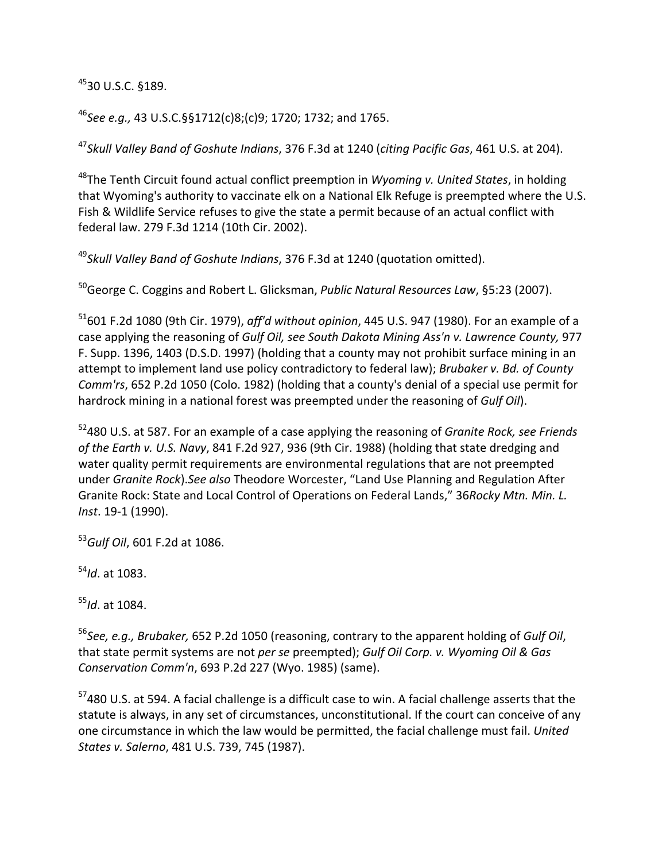## 4530 U.S.C. §189.

<sup>46</sup>*See e.g.,* 43 U.S.C.§§1712(c)8;(c)9; 1720; 1732; and 1765.

<sup>47</sup>*Skull Valley Band of Goshute Indians*, 376 F.3d at 1240 (*citing Pacific Gas*, 461 U.S. at 204).

48The Tenth Circuit found actual conflict preemption in *Wyoming v. United States*, in holding that Wyoming's authority to vaccinate elk on a National Elk Refuge is preempted where the U.S. Fish & Wildlife Service refuses to give the state a permit because of an actual conflict with federal law. 279 F.3d 1214 (10th Cir. 2002).

<sup>49</sup>*Skull Valley Band of Goshute Indians*, 376 F.3d at 1240 (quotation omitted).

50George C. Coggins and Robert L. Glicksman, *Public Natural Resources Law*, §5:23 (2007).

51601 F.2d 1080 (9th Cir. 1979), *aff'd without opinion*, 445 U.S. 947 (1980). For an example of a case applying the reasoning of *Gulf Oil, see South Dakota Mining Ass'n v. Lawrence County,* 977 F. Supp. 1396, 1403 (D.S.D. 1997) (holding that a county may not prohibit surface mining in an attempt to implement land use policy contradictory to federal law); *Brubaker v. Bd. of County Comm'rs*, 652 P.2d 1050 (Colo. 1982) (holding that a county's denial of a special use permit for hardrock mining in a national forest was preempted under the reasoning of *Gulf Oil*).

52480 U.S. at 587. For an example of a case applying the reasoning of *Granite Rock, see Friends of the Earth v. U.S. Navy*, 841 F.2d 927, 936 (9th Cir. 1988) (holding that state dredging and water quality permit requirements are environmental regulations that are not preempted under *Granite Rock*).*See also* Theodore Worcester, "Land Use Planning and Regulation After Granite Rock: State and Local Control of Operations on Federal Lands," 36*Rocky Mtn. Min. L. Inst*. 19‐1 (1990).

<sup>53</sup>*Gulf Oil*, 601 F.2d at 1086.

<sup>54</sup>*Id*. at 1083.

<sup>55</sup>*Id*. at 1084.

<sup>56</sup>*See, e.g., Brubaker,* 652 P.2d 1050 (reasoning, contrary to the apparent holding of *Gulf Oil*, that state permit systems are not *per se* preempted); *Gulf Oil Corp. v. Wyoming Oil & Gas Conservation Comm'n*, 693 P.2d 227 (Wyo. 1985) (same).

 $57$ 480 U.S. at 594. A facial challenge is a difficult case to win. A facial challenge asserts that the statute is always, in any set of circumstances, unconstitutional. If the court can conceive of any one circumstance in which the law would be permitted, the facial challenge must fail. *United States v. Salerno*, 481 U.S. 739, 745 (1987).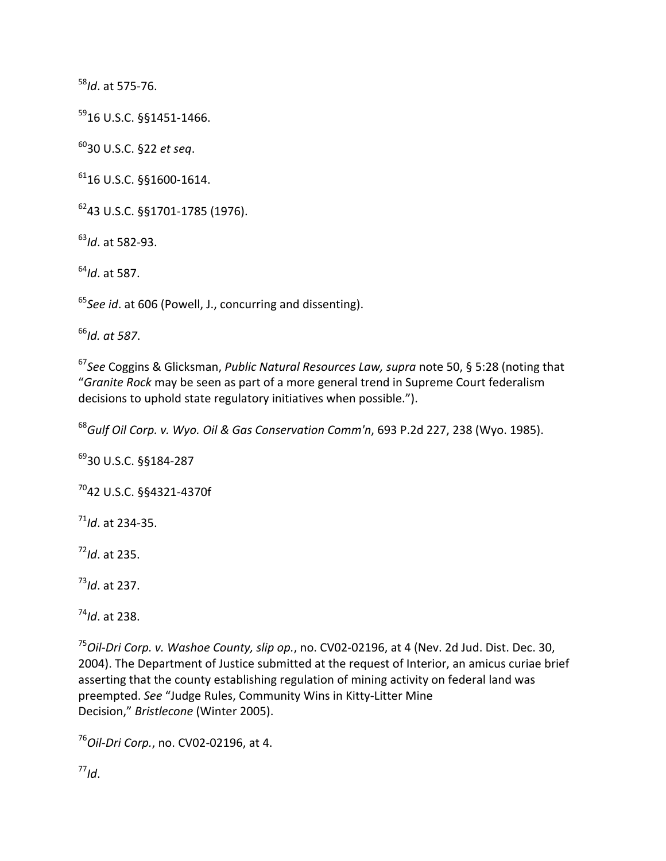*Id*. at 575‐76.

U.S.C. §§1451‐1466.

U.S.C. §22 *et seq*.

U.S.C. §§1600‐1614.

U.S.C. §§1701‐1785 (1976).

*Id*. at 582‐93.

*Id*. at 587.

*See id*. at 606 (Powell, J., concurring and dissenting).

*Id. at 587*.

*See* Coggins & Glicksman, *Public Natural Resources Law, supra* note 50, § 5:28 (noting that "*Granite Rock* may be seen as part of a more general trend in Supreme Court federalism decisions to uphold state regulatory initiatives when possible.").

*Gulf Oil Corp. v. Wyo. Oil & Gas Conservation Comm'n*, 693 P.2d 227, 238 (Wyo. 1985).

U.S.C. §§184‐287

U.S.C. §§4321‐4370f

*Id*. at 234‐35.

*Id*. at 235.

*Id*. at 237.

*Id*. at 238.

*Oil‐Dri Corp. v. Washoe County, slip op.*, no. CV02‐02196, at 4 (Nev. 2d Jud. Dist. Dec. 30, 2004). The Department of Justice submitted at the request of Interior, an amicus curiae brief asserting that the county establishing regulation of mining activity on federal land was preempted. *See* "Judge Rules, Community Wins in Kitty‐Litter Mine Decision," *Bristlecone* (Winter 2005).

*Oil‐Dri Corp.*, no. CV02‐02196, at 4.

*Id*.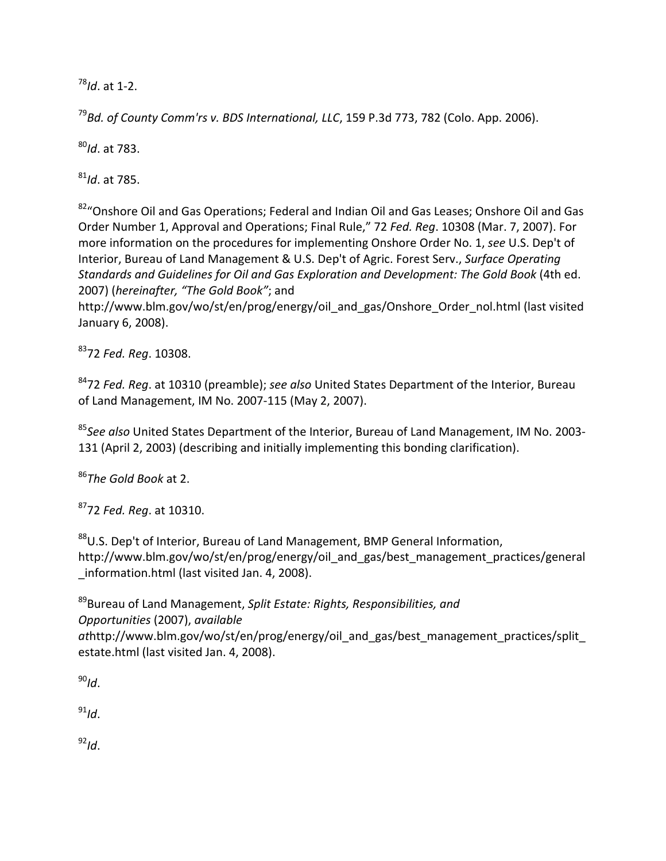<sup>78</sup>*Id*. at 1‐2.

<sup>79</sup>*Bd. of County Comm'rs v. BDS International, LLC*, 159 P.3d 773, 782 (Colo. App. 2006).

<sup>80</sup>*Id*. at 783.

<sup>81</sup>*Id*. at 785.

 $82^{\circ}$ Onshore Oil and Gas Operations; Federal and Indian Oil and Gas Leases; Onshore Oil and Gas Order Number 1, Approval and Operations; Final Rule," 72 *Fed. Reg*. 10308 (Mar. 7, 2007). For more information on the procedures for implementing Onshore Order No. 1, *see* U.S. Dep't of Interior, Bureau of Land Management & U.S. Dep't of Agric. Forest Serv., *Surface Operating Standards and Guidelines for Oil and Gas Exploration and Development: The Gold Book* (4th ed. 2007) (*hereinafter, "The Gold Book"*; and

http://www.blm.gov/wo/st/en/prog/energy/oil\_and\_gas/Onshore\_Order\_nol.html (last visited January 6, 2008).

8372 *Fed. Reg*. 10308.

8472 *Fed. Reg*. at 10310 (preamble); *see also* United States Department of the Interior, Bureau of Land Management, IM No. 2007‐115 (May 2, 2007).

<sup>85</sup>*See also* United States Department of the Interior, Bureau of Land Management, IM No. 2003‐ 131 (April 2, 2003) (describing and initially implementing this bonding clarification).

<sup>86</sup>*The Gold Book* at 2.

8772 *Fed. Reg*. at 10310.

88U.S. Dep't of Interior, Bureau of Land Management, BMP General Information, http://www.blm.gov/wo/st/en/prog/energy/oil\_and\_gas/best\_management\_practices/general \_information.html (last visited Jan. 4, 2008).

89Bureau of Land Management, *Split Estate: Rights, Responsibilities, and Opportunities* (2007), *available at*http://www.blm.gov/wo/st/en/prog/energy/oil\_and\_gas/best\_management\_practices/split\_ estate.html (last visited Jan. 4, 2008).

 $90$ <sub>Id</sub>.

 $^{91}$ *Id*.

<sup>92</sup>*Id*.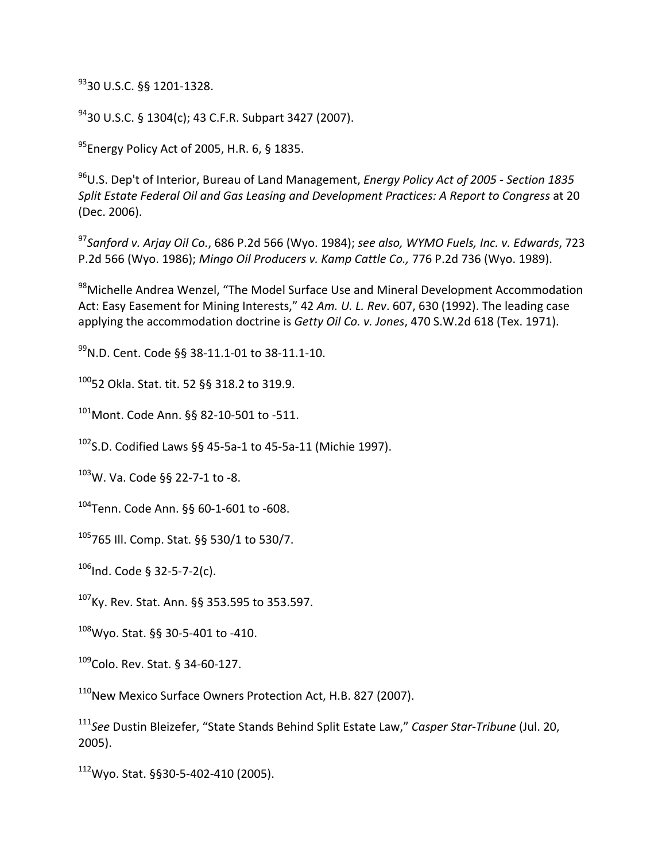9330 U.S.C. §§ 1201‐1328.

9430 U.S.C. § 1304(c); 43 C.F.R. Subpart 3427 (2007).

<sup>95</sup>Energy Policy Act of 2005, H.R. 6, § 1835.

96U.S. Dep't of Interior, Bureau of Land Management, *Energy Policy Act of 2005 ‐ Section 1835 Split Estate Federal Oil and Gas Leasing and Development Practices: A Report to Congress* at 20 (Dec. 2006).

<sup>97</sup>*Sanford v. Arjay Oil Co.*, 686 P.2d 566 (Wyo. 1984); *see also, WYMO Fuels, Inc. v. Edwards*, 723 P.2d 566 (Wyo. 1986); *Mingo Oil Producers v. Kamp Cattle Co.,* 776 P.2d 736 (Wyo. 1989).

98 Michelle Andrea Wenzel, "The Model Surface Use and Mineral Development Accommodation Act: Easy Easement for Mining Interests," 42 *Am. U. L. Rev*. 607, 630 (1992). The leading case applying the accommodation doctrine is *Getty Oil Co. v. Jones*, 470 S.W.2d 618 (Tex. 1971).

99N.D. Cent. Code §§ 38‐11.1‐01 to 38‐11.1‐10.

10052 Okla. Stat. tit. 52 §§ 318.2 to 319.9.

101 Mont. Code Ann. §§ 82-10-501 to -511.

102S.D. Codified Laws §§ 45‐5a‐1 to 45‐5a‐11 (Michie 1997).

103W. Va. Code §§ 22‐7‐1 to ‐8.

 $104$ Tenn. Code Ann. §§ 60-1-601 to -608.

105765 Ill. Comp. Stat. §§ 530/1 to 530/7.

 $106$  Ind. Code § 32-5-7-2(c).

107Ky. Rev. Stat. Ann. §§ 353.595 to 353.597.

108Wyo. Stat. §§ 30‐5‐401 to ‐410.

 $109$ Colo. Rev. Stat. § 34-60-127.

<sup>110</sup>New Mexico Surface Owners Protection Act, H.B. 827 (2007).

<sup>111</sup>*See* Dustin Bleizefer, "State Stands Behind Split Estate Law," *Casper Star‐Tribune* (Jul. 20, 2005).

112Wyo. Stat. §§30‐5‐402‐410 (2005).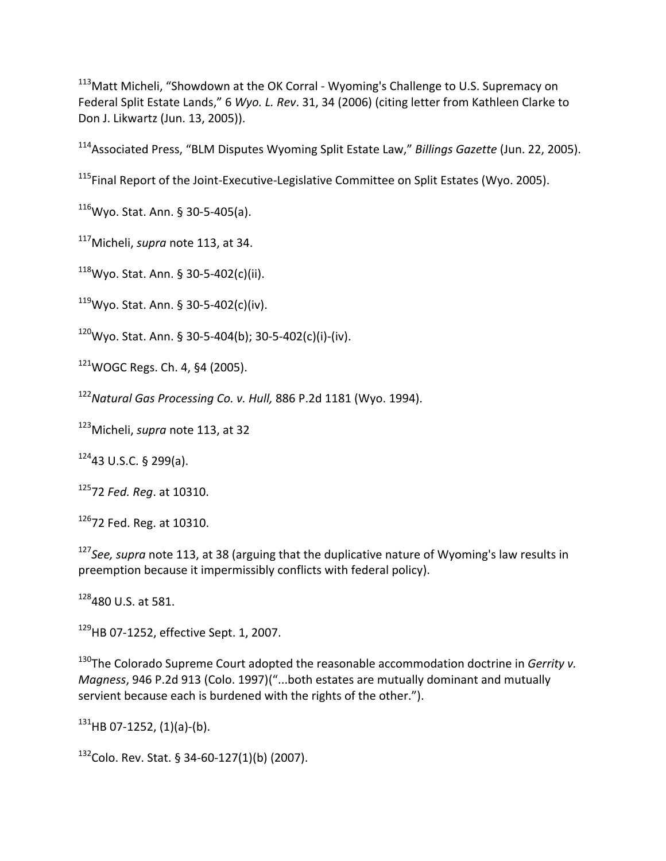113 Matt Micheli, "Showdown at the OK Corral - Wyoming's Challenge to U.S. Supremacy on Federal Split Estate Lands," 6 *Wyo. L. Rev*. 31, 34 (2006) (citing letter from Kathleen Clarke to Don J. Likwartz (Jun. 13, 2005)).

114Associated Press, "BLM Disputes Wyoming Split Estate Law," *Billings Gazette* (Jun. 22, 2005).

<sup>115</sup>Final Report of the Joint-Executive-Legislative Committee on Split Estates (Wyo. 2005).

 $116$ Wyo. Stat. Ann. § 30-5-405(a).

117Micheli, *supra* note 113, at 34.

 $118$ Wyo. Stat. Ann. § 30-5-402(c)(ii).

 $119$ Wyo. Stat. Ann. § 30-5-402(c)(iv).

 $120$ Wyo. Stat. Ann. § 30-5-404(b); 30-5-402(c)(i)-(iv).

 $121$ WOGC Regs. Ch. 4, §4 (2005).

<sup>122</sup>*Natural Gas Processing Co. v. Hull,* 886 P.2d 1181 (Wyo. 1994).

123Micheli, *supra* note 113, at 32

 $12443$  U.S.C. § 299(a).

12572 *Fed. Reg*. at 10310.

 $126$ 72 Fed. Reg. at 10310.

<sup>127</sup>*See, supra* note 113, at 38 (arguing that the duplicative nature of Wyoming's law results in preemption because it impermissibly conflicts with federal policy).

128480 U.S. at 581.

<sup>129</sup>HB 07-1252, effective Sept. 1, 2007.

130The Colorado Supreme Court adopted the reasonable accommodation doctrine in *Gerrity v. Magness*, 946 P.2d 913 (Colo. 1997)("...both estates are mutually dominant and mutually servient because each is burdened with the rights of the other.").

 $131$ HB 07-1252, (1)(a)-(b).

132Colo. Rev. Stat. § 34-60-127(1)(b) (2007).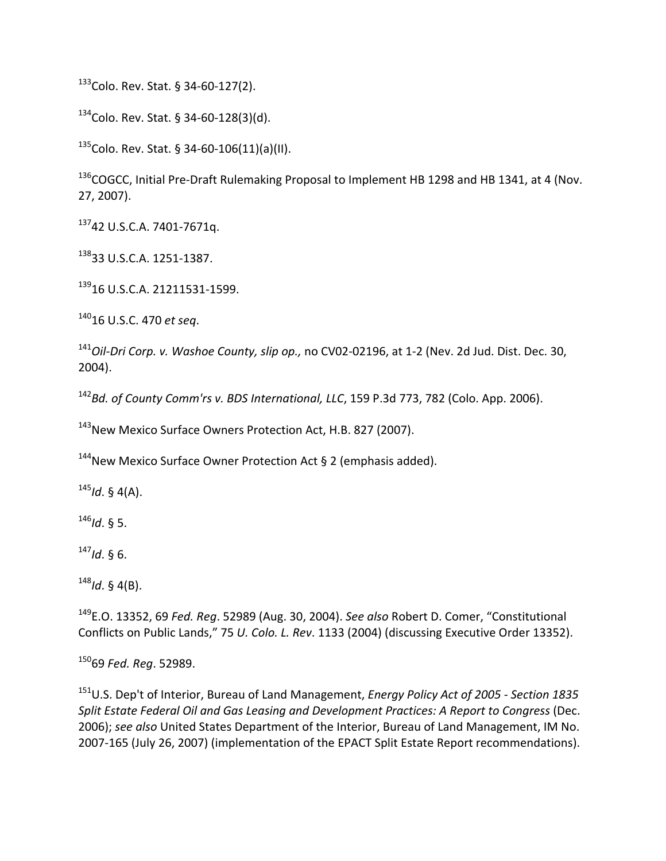133Colo. Rev. Stat. § 34-60-127(2).

 $134$ Colo. Rev. Stat. § 34-60-128(3)(d).

 $135$ Colo. Rev. Stat. § 34-60-106(11)(a)(II).

<sup>136</sup>COGCC, Initial Pre-Draft Rulemaking Proposal to Implement HB 1298 and HB 1341, at 4 (Nov. 27, 2007).

13742 U.S.C.A. 7401‐7671q.

13833 U.S.C.A. 1251‐1387.

139<sub>16</sub> U.S.C.A. 21211531-1599.

14016 U.S.C. 470 *et seq*.

<sup>141</sup>*Oil‐Dri Corp. v. Washoe County, slip op.,* no CV02‐02196, at 1‐2 (Nev. 2d Jud. Dist. Dec. 30, 2004).

<sup>142</sup>*Bd. of County Comm'rs v. BDS International, LLC*, 159 P.3d 773, 782 (Colo. App. 2006).

<sup>143</sup>New Mexico Surface Owners Protection Act, H.B. 827 (2007).

 $144$ New Mexico Surface Owner Protection Act § 2 (emphasis added).

<sup>145</sup>*Id*. § 4(A).

<sup>146</sup>*Id*. § 5.

<sup>147</sup>*Id*. § 6.

<sup>148</sup>*Id*. § 4(B).

149E.O. 13352, 69 *Fed. Reg*. 52989 (Aug. 30, 2004). *See also* Robert D. Comer, "Constitutional Conflicts on Public Lands," 75 *U. Colo. L. Rev*. 1133 (2004) (discussing Executive Order 13352).

15069 *Fed. Reg*. 52989.

151U.S. Dep't of Interior, Bureau of Land Management, *Energy Policy Act of 2005 ‐ Section 1835 Split Estate Federal Oil and Gas Leasing and Development Practices: A Report to Congress* (Dec. 2006); *see also* United States Department of the Interior, Bureau of Land Management, IM No. 2007‐165 (July 26, 2007) (implementation of the EPACT Split Estate Report recommendations).